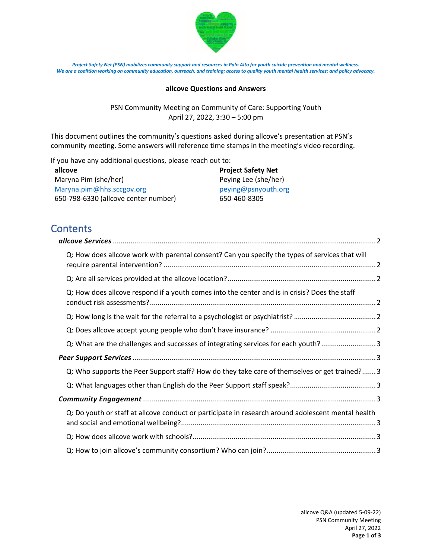

*Project Safety Net (PSN) mobilizes community support and resources in Palo Alto for youth suicide prevention and mental wellness. We are a coalition working on community education, outreach, and training; access to quality youth mental health services; and policy advocacy.*

#### **allcove Questions and Answers**

PSN Community Meeting on Community of Care: Supporting Youth April 27, 2022, 3:30 – 5:00 pm

This document outlines the community's questions asked during allcove's presentation at PSN's community meeting. Some answers will reference time stamps in the meeting's video recording.

If you have any additional questions, please reach out to:

| allcove                              | <b>Project Safety Net</b> |
|--------------------------------------|---------------------------|
| Maryna Pim (she/her)                 | Peying Lee (she/her)      |
| Maryna.pim@hhs.sccgov.org            | peying@psnyouth.org       |
| 650-798-6330 (allcove center number) | 650-460-8305              |

# **Contents**

| Q: How does allcove work with parental consent? Can you specify the types of services that will    |  |
|----------------------------------------------------------------------------------------------------|--|
|                                                                                                    |  |
| Q: How does allcove respond if a youth comes into the center and is in crisis? Does the staff      |  |
|                                                                                                    |  |
|                                                                                                    |  |
| Q: What are the challenges and successes of integrating services for each youth?3                  |  |
|                                                                                                    |  |
| Q: Who supports the Peer Support staff? How do they take care of themselves or get trained? 3      |  |
|                                                                                                    |  |
|                                                                                                    |  |
| Q: Do youth or staff at allcove conduct or participate in research around adolescent mental health |  |
|                                                                                                    |  |
|                                                                                                    |  |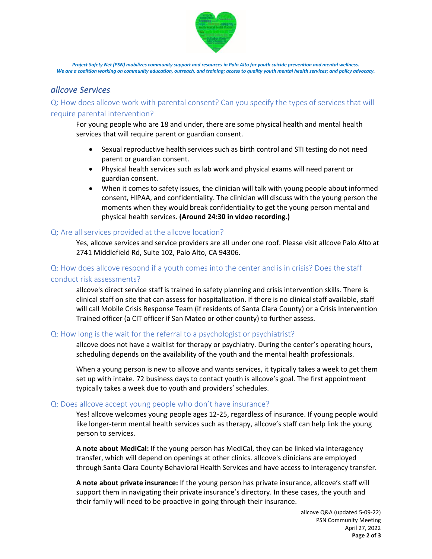

*Project Safety Net (PSN) mobilizes community support and resources in Palo Alto for youth suicide prevention and mental wellness. We are a coalition working on community education, outreach, and training; access to quality youth mental health services; and policy advocacy.*

# <span id="page-1-0"></span>*allcove Services*

<span id="page-1-1"></span>Q: How does allcove work with parental consent? Can you specify the types of services that will require parental intervention?

For young people who are 18 and under, there are some physical health and mental health services that will require parent or guardian consent.

- Sexual reproductive health services such as birth control and STI testing do not need parent or guardian consent.
- Physical health services such as lab work and physical exams will need parent or guardian consent.
- When it comes to safety issues, the clinician will talk with young people about informed consent, HIPAA, and confidentiality. The clinician will discuss with the young person the moments when they would break confidentiality to get the young person mental and physical health services. **(Around 24:30 in video recording.)**

# <span id="page-1-2"></span>Q: Are all services provided at the allcove location?

Yes, allcove services and service providers are all under one roof. Please visit allcove Palo Alto at 2741 Middlefield Rd, Suite 102, Palo Alto, CA 94306.

# <span id="page-1-3"></span>Q: How does allcove respond if a youth comes into the center and is in crisis? Does the staff conduct risk assessments?

allcove's direct service staff is trained in safety planning and crisis intervention skills. There is clinical staff on site that can assess for hospitalization. If there is no clinical staff available, staff will call Mobile Crisis Response Team (if residents of Santa Clara County) or a Crisis Intervention Trained officer (a CIT officer if San Mateo or other county) to further assess.

# <span id="page-1-4"></span>Q: How long is the wait for the referral to a psychologist or psychiatrist?

allcove does not have a waitlist for therapy or psychiatry. During the center's operating hours, scheduling depends on the availability of the youth and the mental health professionals.

When a young person is new to allcove and wants services, it typically takes a week to get them set up with intake. 72 business days to contact youth is allcove's goal. The first appointment typically takes a week due to youth and providers' schedules.

# <span id="page-1-5"></span>Q: Does allcove accept young people who don't have insurance?

Yes! allcove welcomes young people ages 12-25, regardless of insurance. If young people would like longer-term mental health services such as therapy, allcove's staff can help link the young person to services.

**A note about MediCal:** If the young person has MediCal, they can be linked via interagency transfer, which will depend on openings at other clinics. allcove's clinicians are employed through Santa Clara County Behavioral Health Services and have access to interagency transfer.

**A note about private insurance:** If the young person has private insurance, allcove's staff will support them in navigating their private insurance's directory. In these cases, the youth and their family will need to be proactive in going through their insurance.